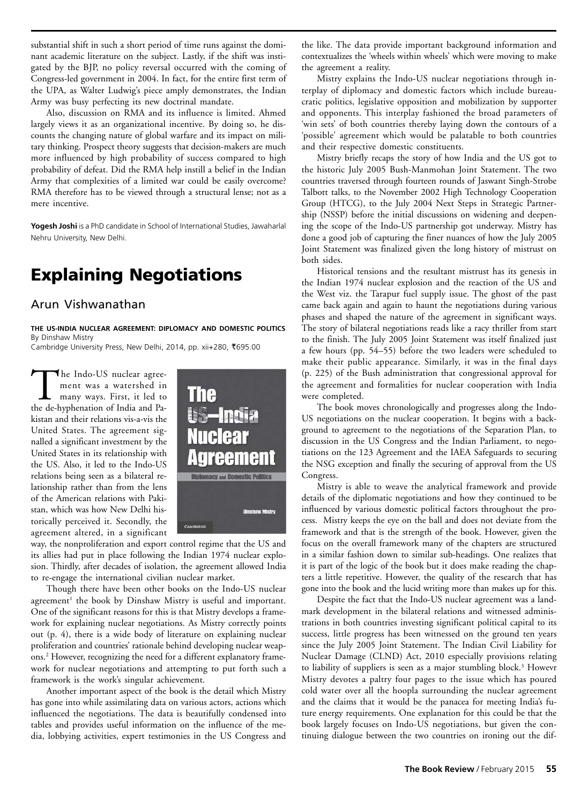substantial shift in such a short period of time runs against the dominant academic literature on the subject. Lastly, if the shift was instigated by the BJP, no policy reversal occurred with the coming of Congress-led government in 2004. In fact, for the entire first term of the UPA, as Walter Ludwig's piece amply demonstrates, the Indian Army was busy perfecting its new doctrinal mandate.

Also, discussion on RMA and its influence is limited. Ahmed largely views it as an organizational incentive. By doing so, he discounts the changing nature of global warfare and its impact on military thinking. Prospect theory suggests that decision-makers are much more influenced by high probability of success compared to high probability of defeat. Did the RMA help instill a belief in the Indian Army that complexities of a limited war could be easily overcome? RMA therefore has to be viewed through a structural lense; not as a mere incentive.

**Yogesh Joshi** is a PhD candidate in School of International Studies, Jawaharlal Nehru University, New Delhi.

## **Explaining Negotiations**

## Arun Vishwanathan

**THE US-INDIA NUCLEAR AGREEMENT: DIPLOMACY AND DOMESTIC POLITICS** By Dinshaw Mistry

Cambridge University Press, New Delhi, 2014, pp. xii+280, R695.00

The Indo-US nuclear agree-<br>ment was a watershed in<br>many ways. First, it led to<br>the de-hyphenation of India and Pament was a watershed in many ways. First, it led to the de-hyphenation of India and Pakistan and their relations vis-a-vis the United States. The agreement signalled a significant investment by the United States in its relationship with the US. Also, it led to the Indo-US relations being seen as a bilateral relationship rather than from the lens of the American relations with Pakistan, which was how New Delhi historically perceived it. Secondly, the agreement altered, in a significant



way, the nonproliferation and export control regime that the US and its allies had put in place following the Indian 1974 nuclear explosion. Thirdly, after decades of isolation, the agreement allowed India to re-engage the international civilian nuclear market.

Though there have been other books on the Indo-US nuclear agreement<sup>1</sup> the book by Dinshaw Mistry is useful and important. One of the significant reasons for this is that Mistry develops a framework for explaining nuclear negotiations. As Mistry correctly points out (p. 4), there is a wide body of literature on explaining nuclear proliferation and countries' rationale behind developing nuclear weapons.2 However, recognizing the need for a different explanatory framework for nuclear negotiations and attempting to put forth such a framework is the work's singular achievement.

Another important aspect of the book is the detail which Mistry has gone into while assimilating data on various actors, actions which influenced the negotiations. The data is beautifully condensed into tables and provides useful information on the influence of the media, lobbying activities, expert testimonies in the US Congress and

the like. The data provide important background information and contextualizes the 'wheels within wheels' which were moving to make the agreement a reality.

Mistry explains the Indo-US nuclear negotiations through interplay of diplomacy and domestic factors which include bureaucratic politics, legislative opposition and mobilization by supporter and opponents. This interplay fashioned the broad parameters of 'win sets' of both countries thereby laying down the contours of a 'possible' agreement which would be palatable to both countries and their respective domestic constituents.

Mistry briefly recaps the story of how India and the US got to the historic July 2005 Bush-Manmohan Joint Statement. The two countries traversed through fourteen rounds of Jaswant Singh-Strobe Talbott talks, to the November 2002 High Technology Cooperation Group (HTCG), to the July 2004 Next Steps in Strategic Partnership (NSSP) before the initial discussions on widening and deepening the scope of the Indo-US partnership got underway. Mistry has done a good job of capturing the finer nuances of how the July 2005 Joint Statement was finalized given the long history of mistrust on both sides.

Historical tensions and the resultant mistrust has its genesis in the Indian 1974 nuclear explosion and the reaction of the US and the West viz. the Tarapur fuel supply issue. The ghost of the past came back again and again to haunt the negotiations during various phases and shaped the nature of the agreement in significant ways. The story of bilateral negotiations reads like a racy thriller from start to the finish. The July 2005 Joint Statement was itself finalized just a few hours (pp. 54–55) before the two leaders were scheduled to make their public appearance. Similarly, it was in the final days (p. 225) of the Bush administration that congressional approval for the agreement and formalities for nuclear cooperation with India were completed.

The book moves chronologically and progresses along the Indo-US negotiations on the nuclear cooperation. It begins with a background to agreement to the negotiations of the Separation Plan, to discussion in the US Congress and the Indian Parliament, to negotiations on the 123 Agreement and the IAEA Safeguards to securing the NSG exception and finally the securing of approval from the US Congress.

Mistry is able to weave the analytical framework and provide details of the diplomatic negotiations and how they continued to be influenced by various domestic political factors throughout the process. Mistry keeps the eye on the ball and does not deviate from the framework and that is the strength of the book. However, given the focus on the overall framework many of the chapters are structured in a similar fashion down to similar sub-headings. One realizes that it is part of the logic of the book but it does make reading the chapters a little repetitive. However, the quality of the research that has gone into the book and the lucid writing more than makes up for this.

Despite the fact that the Indo-US nuclear agreement was a landmark development in the bilateral relations and witnessed administrations in both countries investing significant political capital to its success, little progress has been witnessed on the ground ten years since the July 2005 Joint Statement. The Indian Civil Liability for Nuclear Damage (CLND) Act, 2010 especially provisions relating to liability of suppliers is seen as a major stumbling block.3 Howevr Mistry devotes a paltry four pages to the issue which has poured cold water over all the hoopla surrounding the nuclear agreement and the claims that it would be the panacea for meeting India's future energy requirements. One explanation for this could be that the book largely focuses on Indo-US negotiations, but given the continuing dialogue between the two countries on ironing out the dif